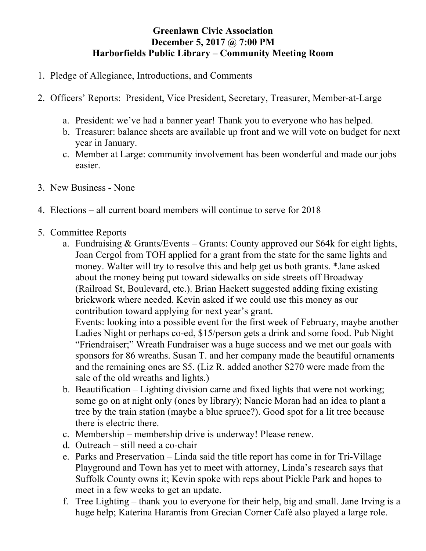## **Greenlawn Civic Association December 5, 2017 @ 7:00 PM Harborfields Public Library – Community Meeting Room**

- 1. Pledge of Allegiance, Introductions, and Comments
- 2. Officers' Reports: President, Vice President, Secretary, Treasurer, Member-at-Large
	- a. President: we've had a banner year! Thank you to everyone who has helped.
	- b. Treasurer: balance sheets are available up front and we will vote on budget for next year in January.
	- c. Member at Large: community involvement has been wonderful and made our jobs easier.
- 3. New Business None
- 4. Elections all current board members will continue to serve for 2018
- 5. Committee Reports
	- a. Fundraising & Grants/Events Grants: County approved our \$64k for eight lights, Joan Cergol from TOH applied for a grant from the state for the same lights and money. Walter will try to resolve this and help get us both grants. \*Jane asked about the money being put toward sidewalks on side streets off Broadway (Railroad St, Boulevard, etc.). Brian Hackett suggested adding fixing existing brickwork where needed. Kevin asked if we could use this money as our contribution toward applying for next year's grant.

Events: looking into a possible event for the first week of February, maybe another Ladies Night or perhaps co-ed, \$15/person gets a drink and some food. Pub Night "Friendraiser;" Wreath Fundraiser was a huge success and we met our goals with sponsors for 86 wreaths. Susan T. and her company made the beautiful ornaments and the remaining ones are \$5. (Liz R. added another \$270 were made from the sale of the old wreaths and lights.)

- b. Beautification Lighting division came and fixed lights that were not working; some go on at night only (ones by library); Nancie Moran had an idea to plant a tree by the train station (maybe a blue spruce?). Good spot for a lit tree because there is electric there.
- c. Membership membership drive is underway! Please renew.
- d. Outreach still need a co-chair
- e. Parks and Preservation Linda said the title report has come in for Tri-Village Playground and Town has yet to meet with attorney, Linda's research says that Suffolk County owns it; Kevin spoke with reps about Pickle Park and hopes to meet in a few weeks to get an update.
- f. Tree Lighting thank you to everyone for their help, big and small. Jane Irving is a huge help; Katerina Haramis from Grecian Corner Café also played a large role.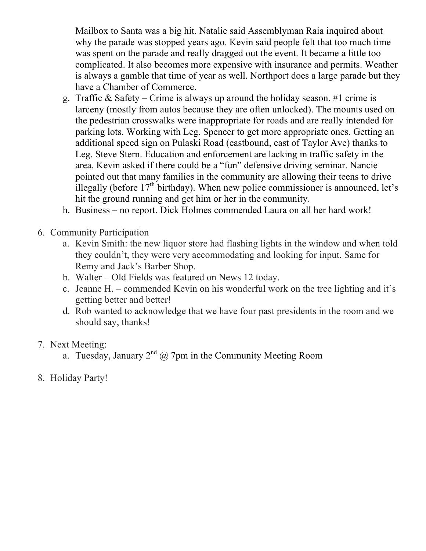Mailbox to Santa was a big hit. Natalie said Assemblyman Raia inquired about why the parade was stopped years ago. Kevin said people felt that too much time was spent on the parade and really dragged out the event. It became a little too complicated. It also becomes more expensive with insurance and permits. Weather is always a gamble that time of year as well. Northport does a large parade but they have a Chamber of Commerce.

- g. Traffic & Safety Crime is always up around the holiday season. #1 crime is larceny (mostly from autos because they are often unlocked). The mounts used on the pedestrian crosswalks were inappropriate for roads and are really intended for parking lots. Working with Leg. Spencer to get more appropriate ones. Getting an additional speed sign on Pulaski Road (eastbound, east of Taylor Ave) thanks to Leg. Steve Stern. Education and enforcement are lacking in traffic safety in the area. Kevin asked if there could be a "fun" defensive driving seminar. Nancie pointed out that many families in the community are allowing their teens to drive illegally (before  $17<sup>th</sup>$  birthday). When new police commissioner is announced, let's hit the ground running and get him or her in the community.
- h. Business no report. Dick Holmes commended Laura on all her hard work!
- 6. Community Participation
	- a. Kevin Smith: the new liquor store had flashing lights in the window and when told they couldn't, they were very accommodating and looking for input. Same for Remy and Jack's Barber Shop.
	- b. Walter Old Fields was featured on News 12 today.
	- c. Jeanne H. commended Kevin on his wonderful work on the tree lighting and it's getting better and better!
	- d. Rob wanted to acknowledge that we have four past presidents in the room and we should say, thanks!
- 7. Next Meeting:
	- a. Tuesday, January  $2^{nd}$  @ 7pm in the Community Meeting Room
- 8. Holiday Party!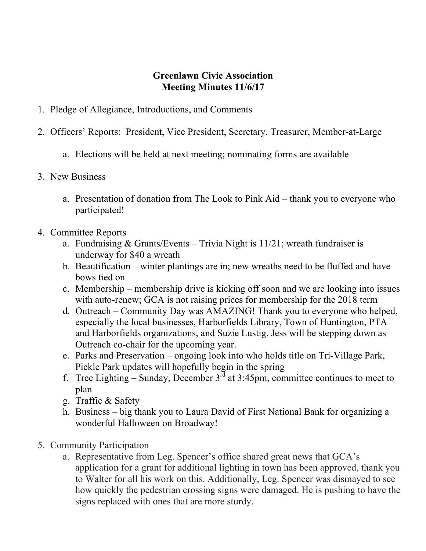## **Greenlawn Civic Association Meeting Minutes 11/6/17**

- 1. Pledge of Allegiance, Introductions, and Comments
- 2. Officers' Reports: President, Vice President, Secretary, Treasurer, Member-at-Large
	- a. Elections will be held at next meeting; nominating forms are available
- 3. New Business
	- a. Presentation of donation from The Look to Pink Aid thank you to everyone who participated!
- 4. Committee Reports
	- a. Fundraising  $& Grants/Events Trivia Night is 11/21$ ; wreath fundraiser is underway for \$40 a wreath
	- b. Beautification winter plantings are in; new wreaths need to be fluffed and have bows tied on
	- c. Membership membership drive is kicking off soon and we are looking into issues with auto-renew; GCA is not raising prices for membership for the 2018 term
	- d. Outreach Community Day was AMAZING! Thank you to everyone who helped, especially the local businesses, Harborfields Library, Town of Huntington, PTA and Harborfields organizations, and Suzie Lustig. Jess will be stepping down as Outreach co-chair for the upcoming year.
	- e. Parks and Preservation ongoing look into who holds title on Tri-Village Park, Pickle Park updates will hopefully begin in the spring
	- f. Tree Lighting Sunday, December  $3^{rd}$  at 3:45pm, committee continues to meet to plan
	- g. Traffic & Safety
	- h. Business big thank you to Laura David of First National Bank for organizing a wonderful Halloween on Broadway!
- 5. Community Participation
	- a. Representative from Leg. Spencer's office shared great news that GCA's application for a grant for additional lighting in town has been approved, thank you to Walter for all his work on this. Additionally, Leg. Spencer was dismayed to see how quickly the pedestrian crossing signs were damaged. He is pushing to have the signs replaced with ones that are more sturdy.